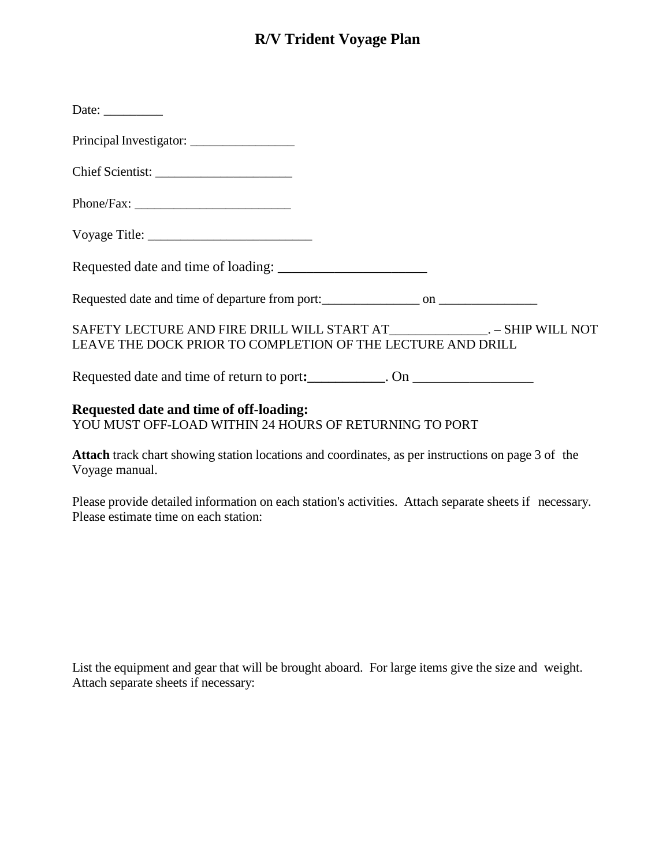# **R/V Trident Voyage Plan**

| Date: $\_\_$                                                                                                                                |  |  |
|---------------------------------------------------------------------------------------------------------------------------------------------|--|--|
|                                                                                                                                             |  |  |
|                                                                                                                                             |  |  |
|                                                                                                                                             |  |  |
|                                                                                                                                             |  |  |
|                                                                                                                                             |  |  |
|                                                                                                                                             |  |  |
| SAFETY LECTURE AND FIRE DRILL WILL START AT________________. – SHIP WILL NOT<br>LEAVE THE DOCK PRIOR TO COMPLETION OF THE LECTURE AND DRILL |  |  |
| Requested date and time of return to port: _________. On _______________________                                                            |  |  |
| <b>Requested date and time of off-loading:</b><br>YOU MUST OFF-LOAD WITHIN 24 HOURS OF RETURNING TO PORT                                    |  |  |

**Attach** track chart showing station locations and coordinates, as per instructions on page 3 of the Voyage manual.

Please provide detailed information on each station's activities. Attach separate sheets if necessary. Please estimate time on each station:

List the equipment and gear that will be brought aboard. For large items give the size and weight. Attach separate sheets if necessary: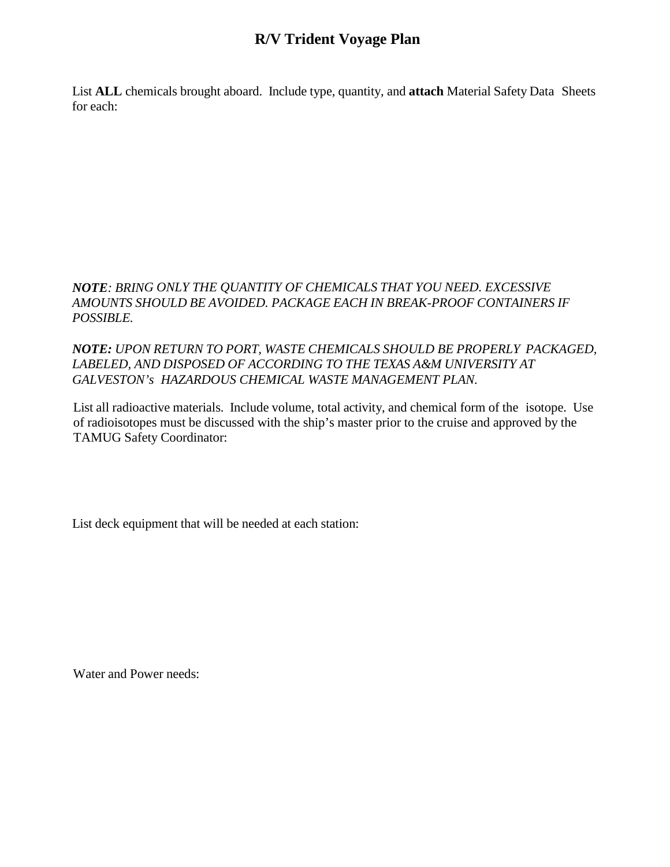## **R/V Trident Voyage Plan**

List **ALL** chemicals brought aboard. Include type, quantity, and **attach** Material Safety Data Sheets for each:

#### *NOTE: BRING ONLY THE QUANTITY OF CHEMICALS THAT YOU NEED. EXCESSIVE AMOUNTS SHOULD BE AVOIDED. PACKAGE EACH IN BREAK-PROOF CONTAINERS IF POSSIBLE.*

### *NOTE: UPON RETURN TO PORT, WASTE CHEMICALS SHOULD BE PROPERLY PACKAGED, LABELED, AND DISPOSED OF ACCORDING TO THE TEXAS A&M UNIVERSITY AT GALVESTON's HAZARDOUS CHEMICAL WASTE MANAGEMENT PLAN.*

List all radioactive materials. Include volume, total activity, and chemical form of the isotope. Use of radioisotopes must be discussed with the ship's master prior to the cruise and approved by the TAMUG Safety Coordinator:

List deck equipment that will be needed at each station:

Water and Power needs: